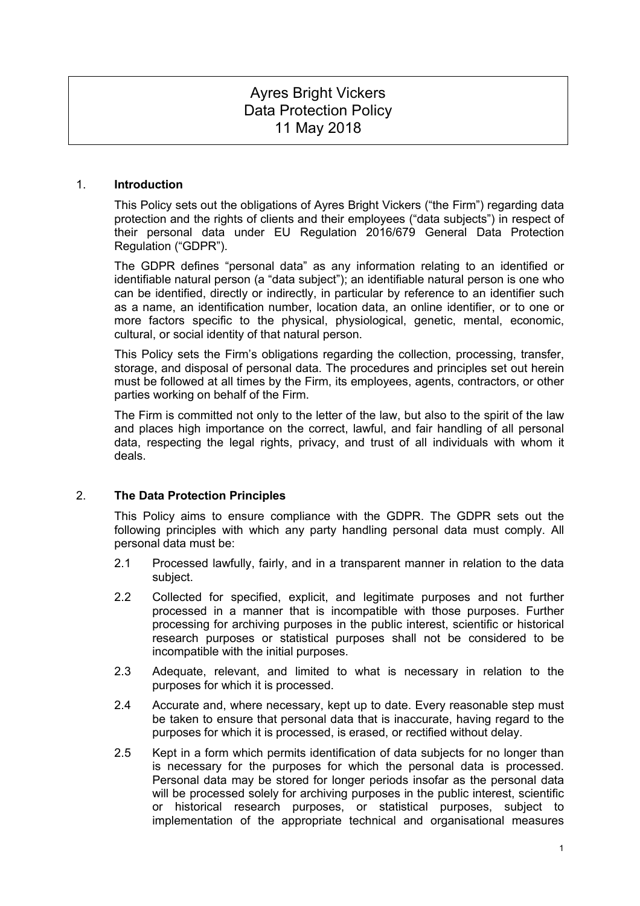# Ayres Bright Vickers Data Protection Policy 11 May 2018

#### 1. **Introduction**

This Policy sets out the obligations of Ayres Bright Vickers ("the Firm") regarding data protection and the rights of clients and their employees ("data subjects") in respect of their personal data under EU Regulation 2016/679 General Data Protection Regulation ("GDPR").

The GDPR defines "personal data" as any information relating to an identified or identifiable natural person (a "data subject"); an identifiable natural person is one who can be identified, directly or indirectly, in particular by reference to an identifier such as a name, an identification number, location data, an online identifier, or to one or more factors specific to the physical, physiological, genetic, mental, economic, cultural, or social identity of that natural person.

This Policy sets the Firm's obligations regarding the collection, processing, transfer, storage, and disposal of personal data. The procedures and principles set out herein must be followed at all times by the Firm, its employees, agents, contractors, or other parties working on behalf of the Firm.

The Firm is committed not only to the letter of the law, but also to the spirit of the law and places high importance on the correct, lawful, and fair handling of all personal data, respecting the legal rights, privacy, and trust of all individuals with whom it deals.

# 2. **The Data Protection Principles**

This Policy aims to ensure compliance with the GDPR. The GDPR sets out the following principles with which any party handling personal data must comply. All personal data must be:

- 2.1 Processed lawfully, fairly, and in a transparent manner in relation to the data subject.
- 2.2 Collected for specified, explicit, and legitimate purposes and not further processed in a manner that is incompatible with those purposes. Further processing for archiving purposes in the public interest, scientific or historical research purposes or statistical purposes shall not be considered to be incompatible with the initial purposes.
- 2.3 Adequate, relevant, and limited to what is necessary in relation to the purposes for which it is processed.
- 2.4 Accurate and, where necessary, kept up to date. Every reasonable step must be taken to ensure that personal data that is inaccurate, having regard to the purposes for which it is processed, is erased, or rectified without delay.
- 2.5 Kept in a form which permits identification of data subjects for no longer than is necessary for the purposes for which the personal data is processed. Personal data may be stored for longer periods insofar as the personal data will be processed solely for archiving purposes in the public interest, scientific or historical research purposes, or statistical purposes, subject to implementation of the appropriate technical and organisational measures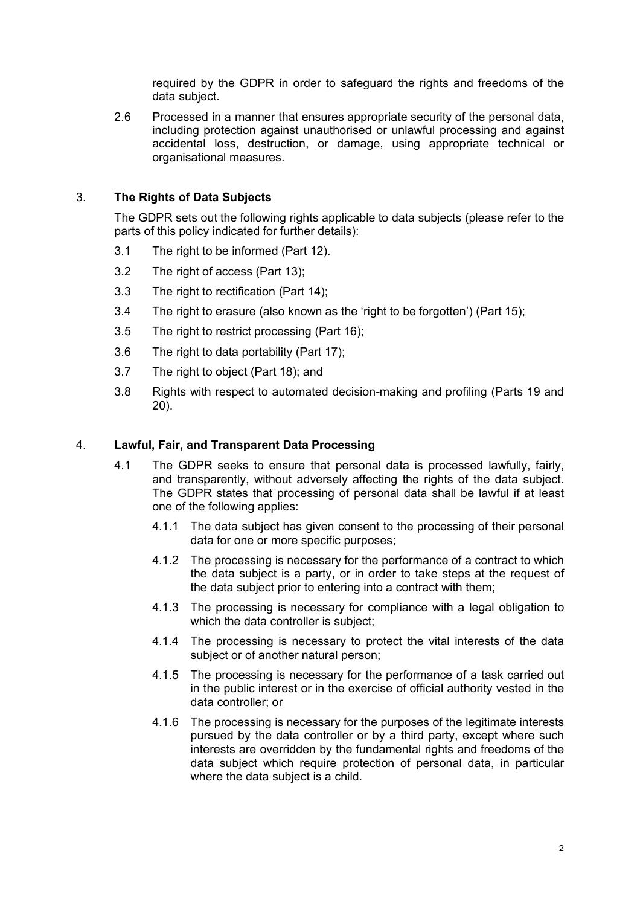required by the GDPR in order to safeguard the rights and freedoms of the data subject.

2.6 Processed in a manner that ensures appropriate security of the personal data, including protection against unauthorised or unlawful processing and against accidental loss, destruction, or damage, using appropriate technical or organisational measures.

# 3. **The Rights of Data Subjects**

The GDPR sets out the following rights applicable to data subjects (please refer to the parts of this policy indicated for further details):

- 3.1 The right to be informed (Part 12).
- 3.2 The right of access (Part 13);
- 3.3 The right to rectification (Part 14);
- 3.4 The right to erasure (also known as the 'right to be forgotten') (Part 15);
- 3.5 The right to restrict processing (Part 16);
- 3.6 The right to data portability (Part 17);
- 3.7 The right to object (Part 18); and
- 3.8 Rights with respect to automated decision-making and profiling (Parts 19 and 20).

# 4. **Lawful, Fair, and Transparent Data Processing**

- 4.1 The GDPR seeks to ensure that personal data is processed lawfully, fairly, and transparently, without adversely affecting the rights of the data subject. The GDPR states that processing of personal data shall be lawful if at least one of the following applies:
	- 4.1.1 The data subject has given consent to the processing of their personal data for one or more specific purposes;
	- 4.1.2 The processing is necessary for the performance of a contract to which the data subject is a party, or in order to take steps at the request of the data subject prior to entering into a contract with them;
	- 4.1.3 The processing is necessary for compliance with a legal obligation to which the data controller is subject;
	- 4.1.4 The processing is necessary to protect the vital interests of the data subject or of another natural person:
	- 4.1.5 The processing is necessary for the performance of a task carried out in the public interest or in the exercise of official authority vested in the data controller; or
	- 4.1.6 The processing is necessary for the purposes of the legitimate interests pursued by the data controller or by a third party, except where such interests are overridden by the fundamental rights and freedoms of the data subject which require protection of personal data, in particular where the data subject is a child.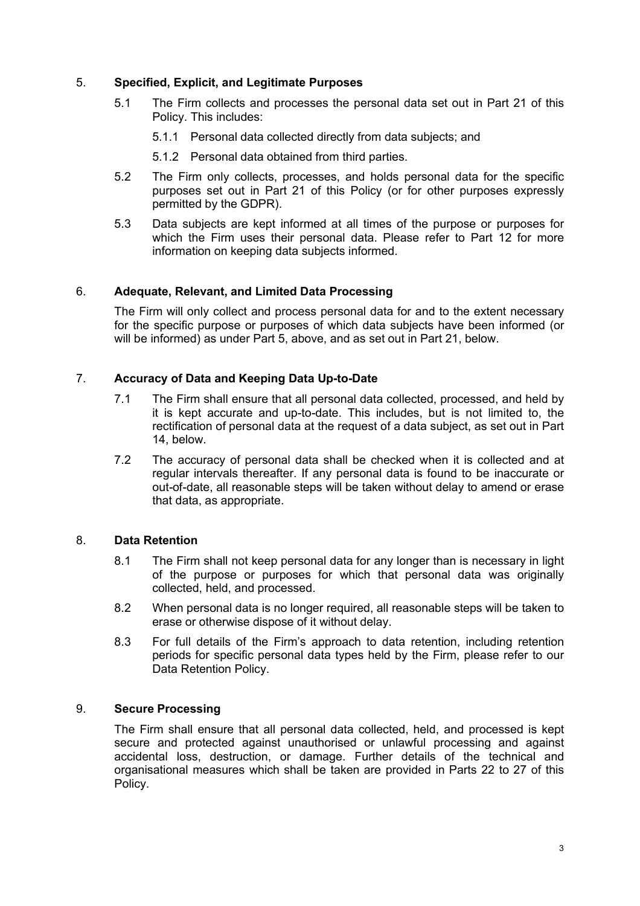# 5. **Specified, Explicit, and Legitimate Purposes**

- 5.1 The Firm collects and processes the personal data set out in Part 21 of this Policy. This includes:
	- 5.1.1 Personal data collected directly from data subjects; and
	- 5.1.2 Personal data obtained from third parties.
- 5.2 The Firm only collects, processes, and holds personal data for the specific purposes set out in Part 21 of this Policy (or for other purposes expressly permitted by the GDPR).
- 5.3 Data subjects are kept informed at all times of the purpose or purposes for which the Firm uses their personal data. Please refer to Part 12 for more information on keeping data subjects informed.

# 6. **Adequate, Relevant, and Limited Data Processing**

The Firm will only collect and process personal data for and to the extent necessary for the specific purpose or purposes of which data subjects have been informed (or will be informed) as under Part 5, above, and as set out in Part 21, below.

# 7. **Accuracy of Data and Keeping Data Up-to-Date**

- 7.1 The Firm shall ensure that all personal data collected, processed, and held by it is kept accurate and up-to-date. This includes, but is not limited to, the rectification of personal data at the request of a data subject, as set out in Part 14, below.
- 7.2 The accuracy of personal data shall be checked when it is collected and at regular intervals thereafter. If any personal data is found to be inaccurate or out-of-date, all reasonable steps will be taken without delay to amend or erase that data, as appropriate.

# 8. **Data Retention**

- 8.1 The Firm shall not keep personal data for any longer than is necessary in light of the purpose or purposes for which that personal data was originally collected, held, and processed.
- 8.2 When personal data is no longer required, all reasonable steps will be taken to erase or otherwise dispose of it without delay.
- 8.3 For full details of the Firm's approach to data retention, including retention periods for specific personal data types held by the Firm, please refer to our Data Retention Policy.

# 9. **Secure Processing**

The Firm shall ensure that all personal data collected, held, and processed is kept secure and protected against unauthorised or unlawful processing and against accidental loss, destruction, or damage. Further details of the technical and organisational measures which shall be taken are provided in Parts 22 to 27 of this Policy.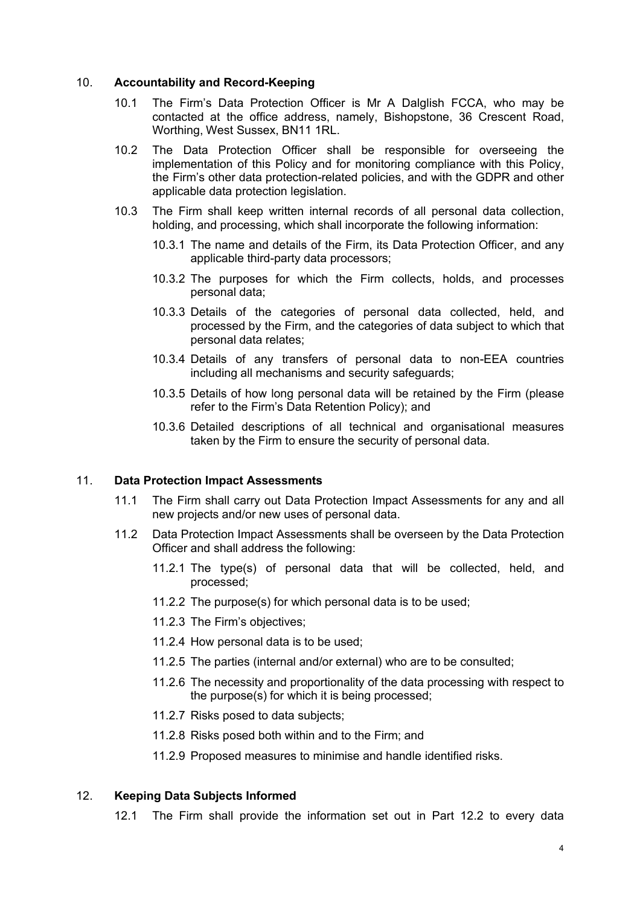#### 10. **Accountability and Record-Keeping**

- 10.1 The Firm's Data Protection Officer is Mr A Dalglish FCCA, who may be contacted at the office address, namely, Bishopstone, 36 Crescent Road, Worthing, West Sussex, BN11 1RL.
- 10.2 The Data Protection Officer shall be responsible for overseeing the implementation of this Policy and for monitoring compliance with this Policy, the Firm's other data protection-related policies, and with the GDPR and other applicable data protection legislation.
- 10.3 The Firm shall keep written internal records of all personal data collection, holding, and processing, which shall incorporate the following information:
	- 10.3.1 The name and details of the Firm, its Data Protection Officer, and any applicable third-party data processors;
	- 10.3.2 The purposes for which the Firm collects, holds, and processes personal data;
	- 10.3.3 Details of the categories of personal data collected, held, and processed by the Firm, and the categories of data subject to which that personal data relates;
	- 10.3.4 Details of any transfers of personal data to non-EEA countries including all mechanisms and security safeguards;
	- 10.3.5 Details of how long personal data will be retained by the Firm (please refer to the Firm's Data Retention Policy); and
	- 10.3.6 Detailed descriptions of all technical and organisational measures taken by the Firm to ensure the security of personal data.

#### 11. **Data Protection Impact Assessments**

- 11.1 The Firm shall carry out Data Protection Impact Assessments for any and all new projects and/or new uses of personal data.
- 11.2 Data Protection Impact Assessments shall be overseen by the Data Protection Officer and shall address the following:
	- 11.2.1 The type(s) of personal data that will be collected, held, and processed;
	- 11.2.2 The purpose(s) for which personal data is to be used;
	- 11.2.3 The Firm's objectives;
	- 11.2.4 How personal data is to be used;
	- 11.2.5 The parties (internal and/or external) who are to be consulted;
	- 11.2.6 The necessity and proportionality of the data processing with respect to the purpose(s) for which it is being processed;
	- 11.2.7 Risks posed to data subjects;
	- 11.2.8 Risks posed both within and to the Firm; and

11.2.9 Proposed measures to minimise and handle identified risks.

# 12. **Keeping Data Subjects Informed**

12.1 The Firm shall provide the information set out in Part 12.2 to every data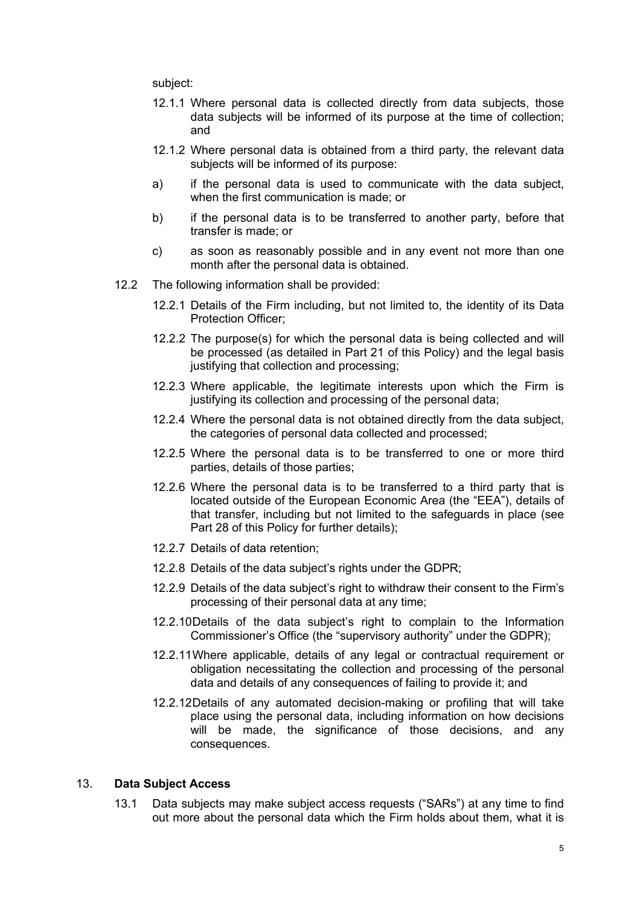subject:

- 12.1.1 Where personal data is collected directly from data subjects, those data subjects will be informed of its purpose at the time of collection; and
- 12.1.2 Where personal data is obtained from a third party, the relevant data subjects will be informed of its purpose:
- a) if the personal data is used to communicate with the data subject, when the first communication is made; or
- b) if the personal data is to be transferred to another party, before that transfer is made; or
- c) as soon as reasonably possible and in any event not more than one month after the personal data is obtained.
- 12.2 The following information shall be provided:
	- 12.2.1 Details of the Firm including, but not limited to, the identity of its Data Protection Officer;
	- 12.2.2 The purpose(s) for which the personal data is being collected and will be processed (as detailed in Part 21 of this Policy) and the legal basis justifying that collection and processing;
	- 12.2.3 Where applicable, the legitimate interests upon which the Firm is justifying its collection and processing of the personal data;
	- 12.2.4 Where the personal data is not obtained directly from the data subject, the categories of personal data collected and processed;
	- 12.2.5 Where the personal data is to be transferred to one or more third parties, details of those parties;
	- 12.2.6 Where the personal data is to be transferred to a third party that is located outside of the European Economic Area (the "EEA"), details of that transfer, including but not limited to the safeguards in place (see Part 28 of this Policy for further details);
	- 12.2.7 Details of data retention;
	- 12.2.8 Details of the data subject's rights under the GDPR;
	- 12.2.9 Details of the data subject's right to withdraw their consent to the Firm's processing of their personal data at any time;
	- 12.2.10Details of the data subject's right to complain to the Information Commissioner's Office (the "supervisory authority" under the GDPR);
	- 12.2.11Where applicable, details of any legal or contractual requirement or obligation necessitating the collection and processing of the personal data and details of any consequences of failing to provide it; and
	- 12.2.12Details of any automated decision-making or profiling that will take place using the personal data, including information on how decisions will be made, the significance of those decisions, and any consequences.

# 13. **Data Subject Access**

13.1 Data subjects may make subject access requests ("SARs") at any time to find out more about the personal data which the Firm holds about them, what it is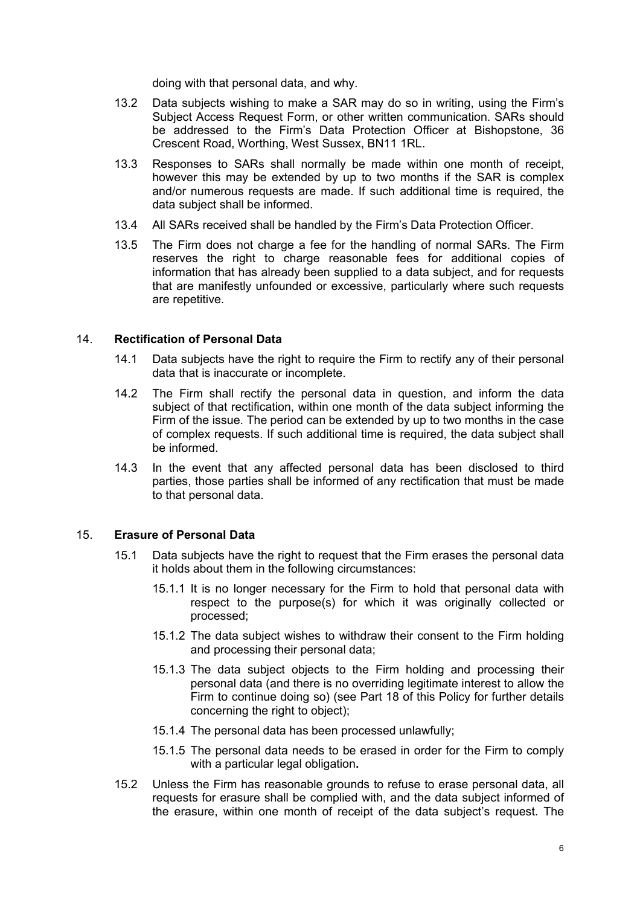doing with that personal data, and why.

- 13.2 Data subjects wishing to make a SAR may do so in writing, using the Firm's Subject Access Request Form, or other written communication. SARs should be addressed to the Firm's Data Protection Officer at Bishopstone, 36 Crescent Road, Worthing, West Sussex, BN11 1RL.
- 13.3 Responses to SARs shall normally be made within one month of receipt, however this may be extended by up to two months if the SAR is complex and/or numerous requests are made. If such additional time is required, the data subject shall be informed.
- 13.4 All SARs received shall be handled by the Firm's Data Protection Officer.
- 13.5 The Firm does not charge a fee for the handling of normal SARs. The Firm reserves the right to charge reasonable fees for additional copies of information that has already been supplied to a data subject, and for requests that are manifestly unfounded or excessive, particularly where such requests are repetitive.

#### 14. **Rectification of Personal Data**

- 14.1 Data subjects have the right to require the Firm to rectify any of their personal data that is inaccurate or incomplete.
- 14.2 The Firm shall rectify the personal data in question, and inform the data subject of that rectification, within one month of the data subject informing the Firm of the issue. The period can be extended by up to two months in the case of complex requests. If such additional time is required, the data subject shall be informed.
- 14.3 In the event that any affected personal data has been disclosed to third parties, those parties shall be informed of any rectification that must be made to that personal data.

# 15. **Erasure of Personal Data**

- 15.1 Data subjects have the right to request that the Firm erases the personal data it holds about them in the following circumstances:
	- 15.1.1 It is no longer necessary for the Firm to hold that personal data with respect to the purpose(s) for which it was originally collected or processed;
	- 15.1.2 The data subject wishes to withdraw their consent to the Firm holding and processing their personal data;
	- 15.1.3 The data subject objects to the Firm holding and processing their personal data (and there is no overriding legitimate interest to allow the Firm to continue doing so) (see Part 18 of this Policy for further details concerning the right to object);
	- 15.1.4 The personal data has been processed unlawfully;
	- 15.1.5 The personal data needs to be erased in order for the Firm to comply with a particular legal obligation**.**
- 15.2 Unless the Firm has reasonable grounds to refuse to erase personal data, all requests for erasure shall be complied with, and the data subject informed of the erasure, within one month of receipt of the data subject's request. The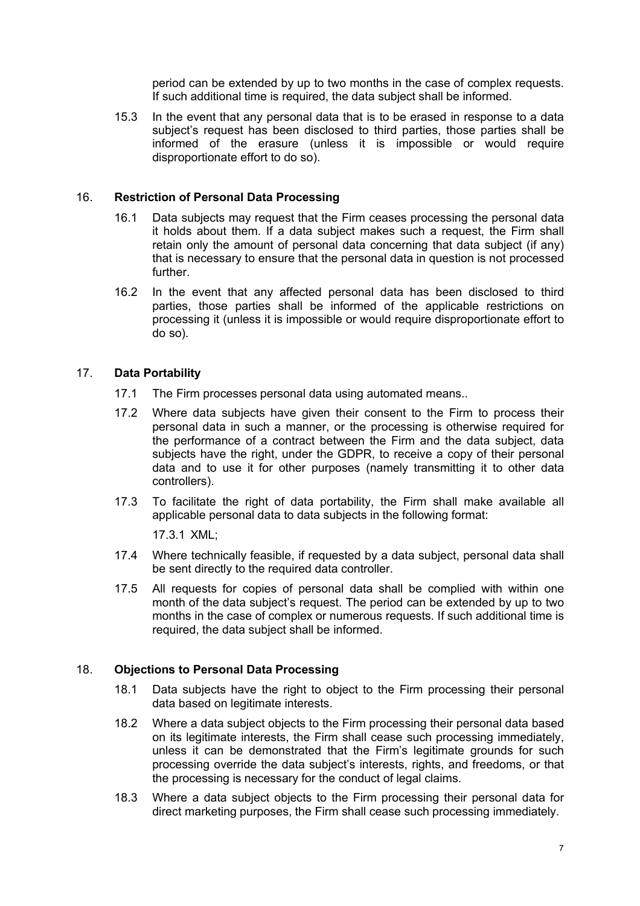period can be extended by up to two months in the case of complex requests. If such additional time is required, the data subject shall be informed.

15.3 In the event that any personal data that is to be erased in response to a data subject's request has been disclosed to third parties, those parties shall be informed of the erasure (unless it is impossible or would require disproportionate effort to do so).

# 16. **Restriction of Personal Data Processing**

- 16.1 Data subjects may request that the Firm ceases processing the personal data it holds about them. If a data subject makes such a request, the Firm shall retain only the amount of personal data concerning that data subject (if any) that is necessary to ensure that the personal data in question is not processed further.
- 16.2 In the event that any affected personal data has been disclosed to third parties, those parties shall be informed of the applicable restrictions on processing it (unless it is impossible or would require disproportionate effort to do so).

# 17. **Data Portability**

- 17.1 The Firm processes personal data using automated means..
- 17.2 Where data subjects have given their consent to the Firm to process their personal data in such a manner, or the processing is otherwise required for the performance of a contract between the Firm and the data subject, data subjects have the right, under the GDPR, to receive a copy of their personal data and to use it for other purposes (namely transmitting it to other data controllers).
- 17.3 To facilitate the right of data portability, the Firm shall make available all applicable personal data to data subjects in the following format:

17.3.1 XML;

- 17.4 Where technically feasible, if requested by a data subject, personal data shall be sent directly to the required data controller.
- 17.5 All requests for copies of personal data shall be complied with within one month of the data subject's request. The period can be extended by up to two months in the case of complex or numerous requests. If such additional time is required, the data subject shall be informed.

# 18. **Objections to Personal Data Processing**

- 18.1 Data subjects have the right to object to the Firm processing their personal data based on legitimate interests.
- 18.2 Where a data subject objects to the Firm processing their personal data based on its legitimate interests, the Firm shall cease such processing immediately, unless it can be demonstrated that the Firm's legitimate grounds for such processing override the data subject's interests, rights, and freedoms, or that the processing is necessary for the conduct of legal claims.
- 18.3 Where a data subject objects to the Firm processing their personal data for direct marketing purposes, the Firm shall cease such processing immediately.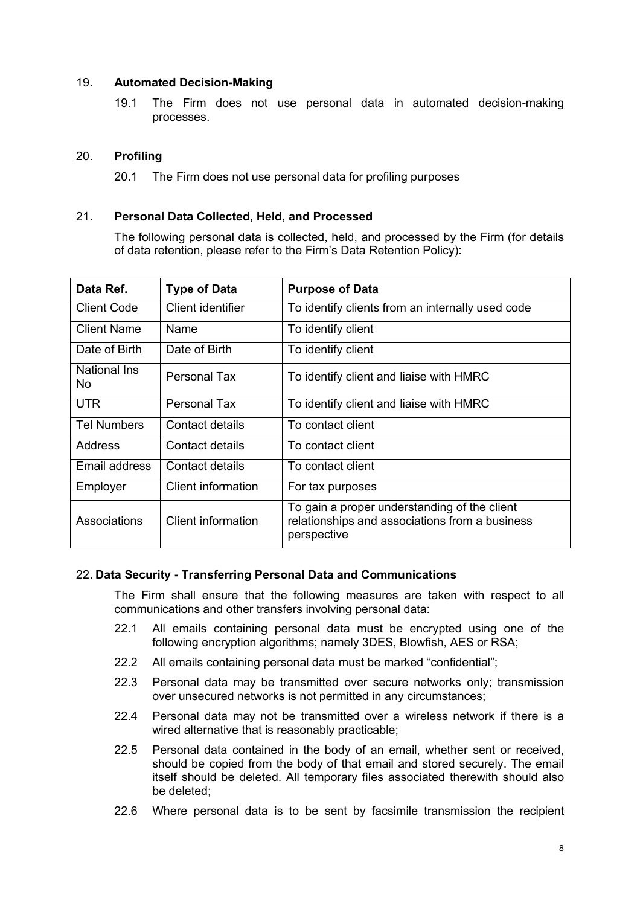# 19. **Automated Decision-Making**

19.1 The Firm does not use personal data in automated decision-making processes.

# 20. **Profiling**

20.1 The Firm does not use personal data for profiling purposes

# 21. **Personal Data Collected, Held, and Processed**

The following personal data is collected, held, and processed by the Firm (for details of data retention, please refer to the Firm's Data Retention Policy):

| Data Ref.          | <b>Type of Data</b> | <b>Purpose of Data</b>                                                                                        |
|--------------------|---------------------|---------------------------------------------------------------------------------------------------------------|
| <b>Client Code</b> | Client identifier   | To identify clients from an internally used code                                                              |
| <b>Client Name</b> | Name                | To identify client                                                                                            |
| Date of Birth      | Date of Birth       | To identify client                                                                                            |
| National Ins<br>No | Personal Tax        | To identify client and liaise with HMRC                                                                       |
| <b>UTR</b>         | <b>Personal Tax</b> | To identify client and liaise with HMRC                                                                       |
| <b>Tel Numbers</b> | Contact details     | To contact client                                                                                             |
| Address            | Contact details     | To contact client                                                                                             |
| Email address      | Contact details     | To contact client                                                                                             |
| Employer           | Client information  | For tax purposes                                                                                              |
| Associations       | Client information  | To gain a proper understanding of the client<br>relationships and associations from a business<br>perspective |

# 22. **Data Security - Transferring Personal Data and Communications**

The Firm shall ensure that the following measures are taken with respect to all communications and other transfers involving personal data:

- 22.1 All emails containing personal data must be encrypted using one of the following encryption algorithms; namely 3DES, Blowfish, AES or RSA;
- 22.2 All emails containing personal data must be marked "confidential";
- 22.3 Personal data may be transmitted over secure networks only; transmission over unsecured networks is not permitted in any circumstances;
- 22.4 Personal data may not be transmitted over a wireless network if there is a wired alternative that is reasonably practicable;
- 22.5 Personal data contained in the body of an email, whether sent or received, should be copied from the body of that email and stored securely. The email itself should be deleted. All temporary files associated therewith should also be deleted;
- 22.6 Where personal data is to be sent by facsimile transmission the recipient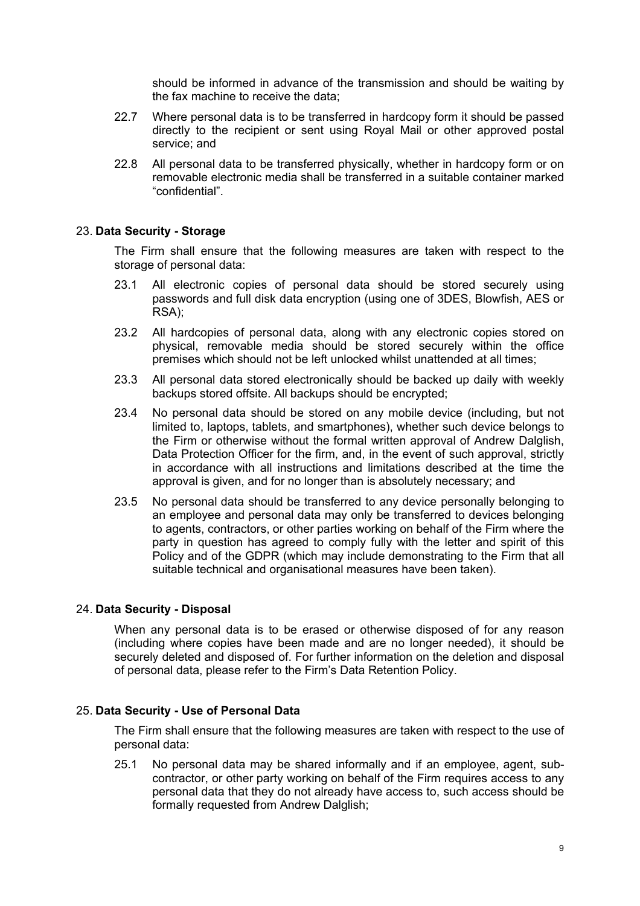should be informed in advance of the transmission and should be waiting by the fax machine to receive the data;

- 22.7 Where personal data is to be transferred in hardcopy form it should be passed directly to the recipient or sent using Royal Mail or other approved postal service; and
- 22.8 All personal data to be transferred physically, whether in hardcopy form or on removable electronic media shall be transferred in a suitable container marked "confidential".

# 23. **Data Security - Storage**

The Firm shall ensure that the following measures are taken with respect to the storage of personal data:

- 23.1 All electronic copies of personal data should be stored securely using passwords and full disk data encryption (using one of 3DES, Blowfish, AES or RSA);
- 23.2 All hardcopies of personal data, along with any electronic copies stored on physical, removable media should be stored securely within the office premises which should not be left unlocked whilst unattended at all times;
- 23.3 All personal data stored electronically should be backed up daily with weekly backups stored offsite. All backups should be encrypted;
- 23.4 No personal data should be stored on any mobile device (including, but not limited to, laptops, tablets, and smartphones), whether such device belongs to the Firm or otherwise without the formal written approval of Andrew Dalglish, Data Protection Officer for the firm, and, in the event of such approval, strictly in accordance with all instructions and limitations described at the time the approval is given, and for no longer than is absolutely necessary; and
- 23.5 No personal data should be transferred to any device personally belonging to an employee and personal data may only be transferred to devices belonging to agents, contractors, or other parties working on behalf of the Firm where the party in question has agreed to comply fully with the letter and spirit of this Policy and of the GDPR (which may include demonstrating to the Firm that all suitable technical and organisational measures have been taken).

#### 24. **Data Security - Disposal**

When any personal data is to be erased or otherwise disposed of for any reason (including where copies have been made and are no longer needed), it should be securely deleted and disposed of. For further information on the deletion and disposal of personal data, please refer to the Firm's Data Retention Policy.

#### 25. **Data Security - Use of Personal Data**

The Firm shall ensure that the following measures are taken with respect to the use of personal data:

25.1 No personal data may be shared informally and if an employee, agent, subcontractor, or other party working on behalf of the Firm requires access to any personal data that they do not already have access to, such access should be formally requested from Andrew Dalglish;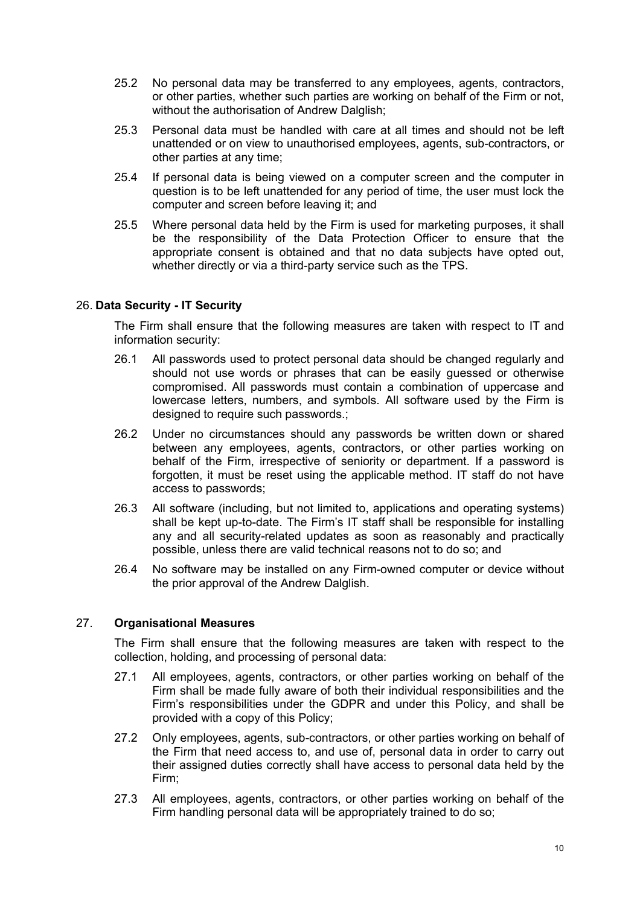- 25.2 No personal data may be transferred to any employees, agents, contractors, or other parties, whether such parties are working on behalf of the Firm or not, without the authorisation of Andrew Dalglish;
- 25.3 Personal data must be handled with care at all times and should not be left unattended or on view to unauthorised employees, agents, sub-contractors, or other parties at any time;
- 25.4 If personal data is being viewed on a computer screen and the computer in question is to be left unattended for any period of time, the user must lock the computer and screen before leaving it; and
- 25.5 Where personal data held by the Firm is used for marketing purposes, it shall be the responsibility of the Data Protection Officer to ensure that the appropriate consent is obtained and that no data subjects have opted out, whether directly or via a third-party service such as the TPS.

# 26. **Data Security - IT Security**

The Firm shall ensure that the following measures are taken with respect to IT and information security:

- 26.1 All passwords used to protect personal data should be changed regularly and should not use words or phrases that can be easily guessed or otherwise compromised. All passwords must contain a combination of uppercase and lowercase letters, numbers, and symbols. All software used by the Firm is designed to require such passwords.;
- 26.2 Under no circumstances should any passwords be written down or shared between any employees, agents, contractors, or other parties working on behalf of the Firm, irrespective of seniority or department. If a password is forgotten, it must be reset using the applicable method. IT staff do not have access to passwords;
- 26.3 All software (including, but not limited to, applications and operating systems) shall be kept up-to-date. The Firm's IT staff shall be responsible for installing any and all security-related updates as soon as reasonably and practically possible, unless there are valid technical reasons not to do so; and
- 26.4 No software may be installed on any Firm-owned computer or device without the prior approval of the Andrew Dalglish.

# 27. **Organisational Measures**

The Firm shall ensure that the following measures are taken with respect to the collection, holding, and processing of personal data:

- 27.1 All employees, agents, contractors, or other parties working on behalf of the Firm shall be made fully aware of both their individual responsibilities and the Firm's responsibilities under the GDPR and under this Policy, and shall be provided with a copy of this Policy;
- 27.2 Only employees, agents, sub-contractors, or other parties working on behalf of the Firm that need access to, and use of, personal data in order to carry out their assigned duties correctly shall have access to personal data held by the Firm;
- 27.3 All employees, agents, contractors, or other parties working on behalf of the Firm handling personal data will be appropriately trained to do so;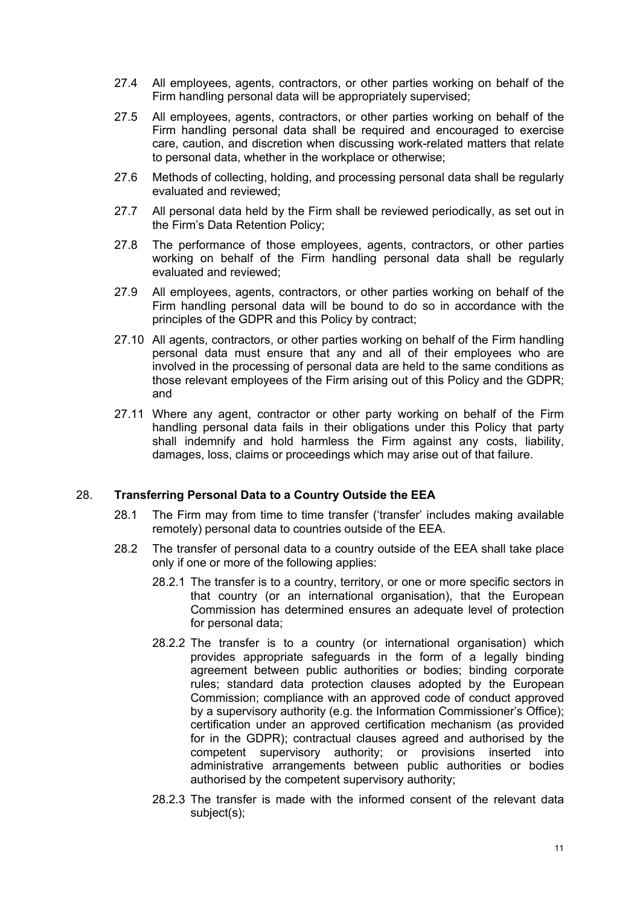- 27.4 All employees, agents, contractors, or other parties working on behalf of the Firm handling personal data will be appropriately supervised;
- 27.5 All employees, agents, contractors, or other parties working on behalf of the Firm handling personal data shall be required and encouraged to exercise care, caution, and discretion when discussing work-related matters that relate to personal data, whether in the workplace or otherwise;
- 27.6 Methods of collecting, holding, and processing personal data shall be regularly evaluated and reviewed;
- 27.7 All personal data held by the Firm shall be reviewed periodically, as set out in the Firm's Data Retention Policy;
- 27.8 The performance of those employees, agents, contractors, or other parties working on behalf of the Firm handling personal data shall be regularly evaluated and reviewed;
- 27.9 All employees, agents, contractors, or other parties working on behalf of the Firm handling personal data will be bound to do so in accordance with the principles of the GDPR and this Policy by contract;
- 27.10 All agents, contractors, or other parties working on behalf of the Firm handling personal data must ensure that any and all of their employees who are involved in the processing of personal data are held to the same conditions as those relevant employees of the Firm arising out of this Policy and the GDPR; and
- 27.11 Where any agent, contractor or other party working on behalf of the Firm handling personal data fails in their obligations under this Policy that party shall indemnify and hold harmless the Firm against any costs, liability, damages, loss, claims or proceedings which may arise out of that failure.

# 28. **Transferring Personal Data to a Country Outside the EEA**

- 28.1 The Firm may from time to time transfer ('transfer' includes making available remotely) personal data to countries outside of the EEA.
- 28.2 The transfer of personal data to a country outside of the EEA shall take place only if one or more of the following applies:
	- 28.2.1 The transfer is to a country, territory, or one or more specific sectors in that country (or an international organisation), that the European Commission has determined ensures an adequate level of protection for personal data;
	- 28.2.2 The transfer is to a country (or international organisation) which provides appropriate safeguards in the form of a legally binding agreement between public authorities or bodies; binding corporate rules; standard data protection clauses adopted by the European Commission; compliance with an approved code of conduct approved by a supervisory authority (e.g. the Information Commissioner's Office); certification under an approved certification mechanism (as provided for in the GDPR); contractual clauses agreed and authorised by the competent supervisory authority; or provisions inserted into administrative arrangements between public authorities or bodies authorised by the competent supervisory authority;
	- 28.2.3 The transfer is made with the informed consent of the relevant data subject(s);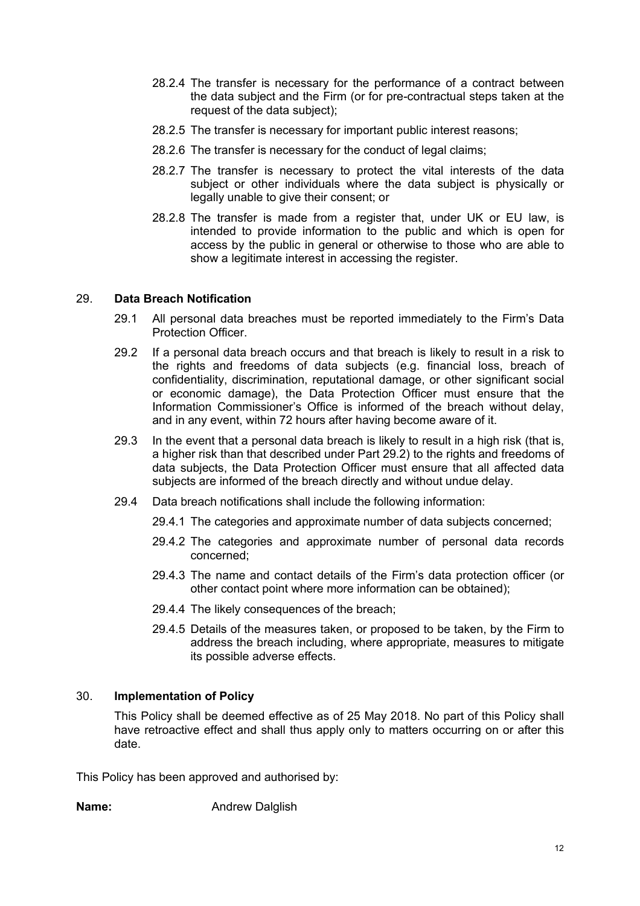- 28.2.4 The transfer is necessary for the performance of a contract between the data subject and the Firm (or for pre-contractual steps taken at the request of the data subject);
- 28.2.5 The transfer is necessary for important public interest reasons;
- 28.2.6 The transfer is necessary for the conduct of legal claims;
- 28.2.7 The transfer is necessary to protect the vital interests of the data subject or other individuals where the data subject is physically or legally unable to give their consent; or
- 28.2.8 The transfer is made from a register that, under UK or EU law, is intended to provide information to the public and which is open for access by the public in general or otherwise to those who are able to show a legitimate interest in accessing the register.

# 29. **Data Breach Notification**

- 29.1 All personal data breaches must be reported immediately to the Firm's Data Protection Officer.
- 29.2 If a personal data breach occurs and that breach is likely to result in a risk to the rights and freedoms of data subjects (e.g. financial loss, breach of confidentiality, discrimination, reputational damage, or other significant social or economic damage), the Data Protection Officer must ensure that the Information Commissioner's Office is informed of the breach without delay, and in any event, within 72 hours after having become aware of it.
- 29.3 In the event that a personal data breach is likely to result in a high risk (that is, a higher risk than that described under Part 29.2) to the rights and freedoms of data subjects, the Data Protection Officer must ensure that all affected data subjects are informed of the breach directly and without undue delay.
- 29.4 Data breach notifications shall include the following information:
	- 29.4.1 The categories and approximate number of data subjects concerned;
	- 29.4.2 The categories and approximate number of personal data records concerned;
	- 29.4.3 The name and contact details of the Firm's data protection officer (or other contact point where more information can be obtained);
	- 29.4.4 The likely consequences of the breach;
	- 29.4.5 Details of the measures taken, or proposed to be taken, by the Firm to address the breach including, where appropriate, measures to mitigate its possible adverse effects.

# 30. **Implementation of Policy**

This Policy shall be deemed effective as of 25 May 2018. No part of this Policy shall have retroactive effect and shall thus apply only to matters occurring on or after this date.

This Policy has been approved and authorised by:

**Name:** Andrew Dalglish